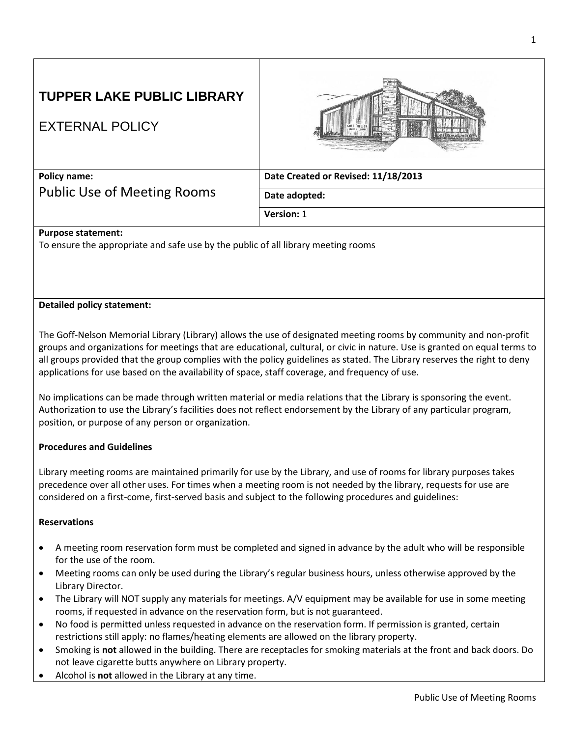# **TUPPER LAKE PUBLIC LIBRARY**

# EXTERNAL POLICY



**Policy name:**  Public Use of Meeting Rooms **Date Created or Revised: 11/18/2013**

**Date adopted:** 

**Version:** 1

# **Purpose statement:**

To ensure the appropriate and safe use by the public of all library meeting rooms

## **Detailed policy statement:**

The Goff-Nelson Memorial Library (Library) allows the use of designated meeting rooms by community and non-profit groups and organizations for meetings that are educational, cultural, or civic in nature. Use is granted on equal terms to all groups provided that the group complies with the policy guidelines as stated. The Library reserves the right to deny applications for use based on the availability of space, staff coverage, and frequency of use.

No implications can be made through written material or media relations that the Library is sponsoring the event. Authorization to use the Library's facilities does not reflect endorsement by the Library of any particular program, position, or purpose of any person or organization.

#### **Procedures and Guidelines**

Library meeting rooms are maintained primarily for use by the Library, and use of rooms for library purposes takes precedence over all other uses. For times when a meeting room is not needed by the library, requests for use are considered on a first-come, first-served basis and subject to the following procedures and guidelines:

## **Reservations**

- A meeting room reservation form must be completed and signed in advance by the adult who will be responsible for the use of the room.
- Meeting rooms can only be used during the Library's regular business hours, unless otherwise approved by the Library Director.
- The Library will NOT supply any materials for meetings. A/V equipment may be available for use in some meeting rooms, if requested in advance on the reservation form, but is not guaranteed.
- No food is permitted unless requested in advance on the reservation form. If permission is granted, certain restrictions still apply: no flames/heating elements are allowed on the library property.
- Smoking is **not** allowed in the building. There are receptacles for smoking materials at the front and back doors. Do not leave cigarette butts anywhere on Library property.
- Alcohol is **not** allowed in the Library at any time.